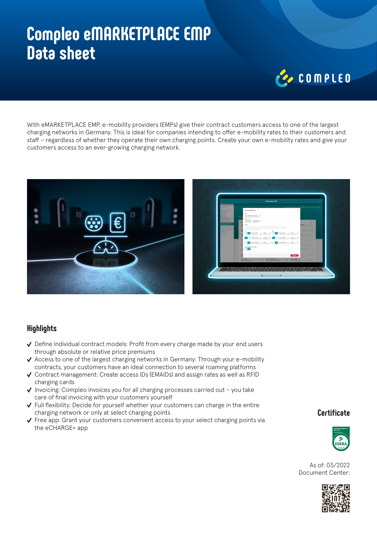## **Compleo eMARKETPLACE EMP Data sheet**

# COMPLED

With eMARKETPLACE EMP, e-mobility providers (EMPs) give their contract customers access to one of the largest charging networks in Germany. This is ideal for companies intending to offer e-mobility rates to their customers and staff – regardless of whether they operate their own charging points. Create your own e-mobility rates and give your customers access to an ever-growing charging network.



### **Highlights**

- $\vee$  Define individual contract models: Profit from every charge made by your end users through absolute or relative price premiums
- $\checkmark$  Access to one of the largest charging networks in Germany: Through your e-mobility contracts, your customers have an ideal connection to several roaming platforms
- $\checkmark$  Contract management: Create access IDs (EMAIDs) and assign rates as well as RFID charging cards
- $\checkmark$  Invoicing: Compleo invoices you for all charging processes carried out you take care of final invoicing with your customers yourself
- $\checkmark$  Full flexibility: Decide for yourself whether your customers can charge in the entire charging network or only at select charging points
- $\checkmark$  Free app: Grant your customers convenient access to your select charging points via the eCHARGE+ app

#### **Certificate**



As of: 03/2022 Document Center: